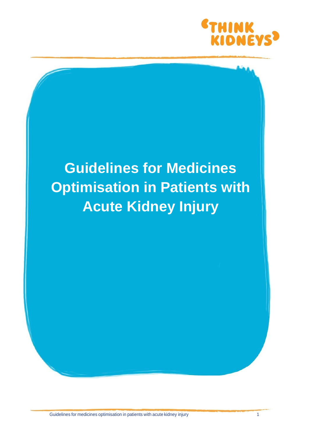

## **Guidelines for Medicines Optimisation in Patients with Acute Kidney Injury**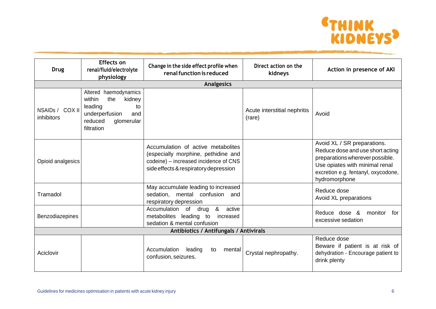

| <b>Drug</b>                            | <b>Effects on</b><br>renal/fluid/electrolyte<br>physiology                                                                        | Change in the side effect profile when<br>renal function is reduced                                                                                         | Direct action on the<br>kidneys        | Action in presence of AKI                                                                                                                                                                    |  |
|----------------------------------------|-----------------------------------------------------------------------------------------------------------------------------------|-------------------------------------------------------------------------------------------------------------------------------------------------------------|----------------------------------------|----------------------------------------------------------------------------------------------------------------------------------------------------------------------------------------------|--|
|                                        |                                                                                                                                   | <b>Analgesics</b>                                                                                                                                           |                                        |                                                                                                                                                                                              |  |
| NSAIDs / COX II<br>inhibitors          | Altered haemodynamics<br>within<br>the<br>kidney<br>leading<br>to<br>underperfusion<br>and<br>reduced<br>glomerular<br>filtration |                                                                                                                                                             | Acute interstitial nephritis<br>(rare) | Avoid                                                                                                                                                                                        |  |
| Opioid analgesics                      |                                                                                                                                   | Accumulation of active metabolites<br>(especially morphine, pethidine and<br>codeine) – increased incidence of CNS<br>side effects & respiratory depression |                                        | Avoid XL / SR preparations.<br>Reduce dose and use short acting<br>preparations wherever possible.<br>Use opiates with minimal renal<br>excretion e.g. fentanyl, oxycodone,<br>hydromorphone |  |
| Tramadol                               |                                                                                                                                   | May accumulate leading to increased<br>sedation, mental confusion and<br>respiratory depression                                                             |                                        | Reduce dose<br>Avoid XL preparations                                                                                                                                                         |  |
| Benzodiazepines                        |                                                                                                                                   | &<br>Accumulation of<br>active<br>drug<br>metabolites leading to<br>increased<br>sedation & mental confusion                                                |                                        | Reduce dose &<br>monitor<br>for<br>excessive sedation                                                                                                                                        |  |
| Antibiotics / Antifungals / Antivirals |                                                                                                                                   |                                                                                                                                                             |                                        |                                                                                                                                                                                              |  |
| Aciclovir                              |                                                                                                                                   | Accumulation<br>leading<br>mental<br>to<br>confusion, seizures.                                                                                             | Crystal nephropathy.                   | Reduce dose<br>Beware if patient is at risk of<br>dehydration - Encourage patient to<br>drink plenty                                                                                         |  |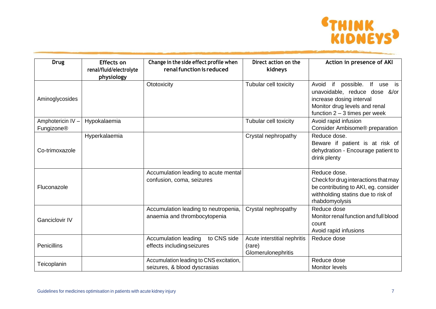

| <b>Drug</b>                     | <b>Effects on</b><br>renal/fluid/electrolyte<br>physiology | Change in the side effect profile when<br>renal function is reduced     | Direct action on the<br>kidneys                              | Action in presence of AKI                                                                                                                                     |
|---------------------------------|------------------------------------------------------------|-------------------------------------------------------------------------|--------------------------------------------------------------|---------------------------------------------------------------------------------------------------------------------------------------------------------------|
| Aminoglycosides                 |                                                            | Ototoxicity                                                             | Tubular cell toxicity                                        | Avoid if possible. If use is<br>unavoidable, reduce dose &/or<br>increase dosing interval<br>Monitor drug levels and renal<br>function $2 - 3$ times per week |
| Amphotericin IV -<br>Fungizone® | Hypokalaemia                                               |                                                                         | Tubular cell toxicity                                        | Avoid rapid infusion<br>Consider Ambisome® preparation                                                                                                        |
| Co-trimoxazole                  | Hyperkalaemia                                              |                                                                         | Crystal nephropathy                                          | Reduce dose.<br>Beware if patient is at risk of<br>dehydration - Encourage patient to<br>drink plenty                                                         |
| Fluconazole                     |                                                            | Accumulation leading to acute mental<br>confusion, coma, seizures       |                                                              | Reduce dose.<br>Check for drug interactions that may<br>be contributing to AKI, eg. consider<br>withholding statins due to risk of<br>rhabdomyolysis          |
| <b>Ganciclovir IV</b>           |                                                            | Accumulation leading to neutropenia,<br>anaemia and thrombocytopenia    | Crystal nephropathy                                          | Reduce dose<br>Monitor renal function and full blood<br>count<br>Avoid rapid infusions                                                                        |
| Penicillins                     |                                                            | Accumulation leading<br>to CNS side<br>effects including seizures       | Acute interstitial nephritis<br>(rare)<br>Glomerulonephritis | Reduce dose                                                                                                                                                   |
| Teicoplanin                     |                                                            | Accumulation leading to CNS excitation,<br>seizures, & blood dyscrasias |                                                              | Reduce dose<br><b>Monitor levels</b>                                                                                                                          |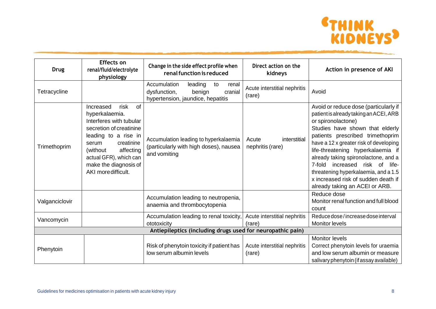

| <b>Drug</b>    | <b>Effects on</b><br>renal/fluid/electrolyte<br>physiology                                                                                                                                                                                        | Change in the side effect profile when<br>renal function is reduced                                              | Direct action on the<br>kidneys           | Action in presence of AKI                                                                                                                                                                                                                                                                                                                                                                                                                                 |  |
|----------------|---------------------------------------------------------------------------------------------------------------------------------------------------------------------------------------------------------------------------------------------------|------------------------------------------------------------------------------------------------------------------|-------------------------------------------|-----------------------------------------------------------------------------------------------------------------------------------------------------------------------------------------------------------------------------------------------------------------------------------------------------------------------------------------------------------------------------------------------------------------------------------------------------------|--|
| Tetracycline   |                                                                                                                                                                                                                                                   | Accumulation<br>leading<br>to<br>renal<br>dysfunction,<br>benign<br>cranial<br>hypertension, jaundice, hepatitis | Acute interstitial nephritis<br>(rare)    | Avoid                                                                                                                                                                                                                                                                                                                                                                                                                                                     |  |
| Trimethoprim   | of<br>Increased<br>risk<br>hyperkalaemia.<br>Interferes with tubular<br>secretion of creatinine<br>leading to a rise in<br>creatinine<br>serum<br>(without<br>affecting<br>actual GFR), which can<br>make the diagnosis of<br>AKI more difficult. | Accumulation leading to hyperkalaemia<br>(particularly with high doses), nausea<br>and vomiting                  | interstitial<br>Acute<br>nephritis (rare) | Avoid or reduce dose (particularly if<br>patient is already taking an ACEI, ARB<br>or spironolactone)<br>Studies have shown that elderly<br>patients prescribed trimethoprim<br>have a 12 x greater risk of developing<br>life-threatening hyperkalaemia if<br>already taking spironolactone, and a<br>7-fold increased risk of<br>life-<br>threatening hyperkalaemia, and a 1.5<br>x increased risk of sudden death if<br>already taking an ACEI or ARB. |  |
| Valganciclovir |                                                                                                                                                                                                                                                   | Accumulation leading to neutropenia,<br>anaemia and thrombocytopenia                                             |                                           | Reduce dose<br>Monitor renal function and full blood<br>count                                                                                                                                                                                                                                                                                                                                                                                             |  |
| Vancomycin     |                                                                                                                                                                                                                                                   | Accumulation leading to renal toxicity,<br>ototoxicity                                                           | Acute interstitial nephritis<br>(rare)    | Reduce dose/increase dose interval<br><b>Monitor levels</b>                                                                                                                                                                                                                                                                                                                                                                                               |  |
|                | Antiepileptics (including drugs used for neuropathic pain)                                                                                                                                                                                        |                                                                                                                  |                                           |                                                                                                                                                                                                                                                                                                                                                                                                                                                           |  |
| Phenytoin      |                                                                                                                                                                                                                                                   | Risk of phenytoin toxicity if patient has<br>low serum albumin levels                                            | Acute interstitial nephritis<br>(rare)    | Monitor levels<br>Correct phenytoin levels for uraemia<br>and low serum albumin or measure<br>salivary phenytoin (if assay available)                                                                                                                                                                                                                                                                                                                     |  |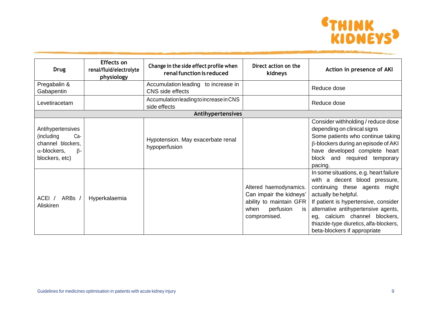

| <b>Drug</b>                                                                                                       | <b>Effects on</b><br>renal/fluid/electrolyte<br>physiology | Change in the side effect profile when<br>renal function is reduced | Direct action on the<br>kidneys                                                                                         | Action in presence of AKI                                                                                                                                                                                                                                                                                                    |
|-------------------------------------------------------------------------------------------------------------------|------------------------------------------------------------|---------------------------------------------------------------------|-------------------------------------------------------------------------------------------------------------------------|------------------------------------------------------------------------------------------------------------------------------------------------------------------------------------------------------------------------------------------------------------------------------------------------------------------------------|
| Pregabalin &<br>Gabapentin                                                                                        |                                                            | Accumulation leading to increase in<br>CNS side effects             |                                                                                                                         | Reduce dose                                                                                                                                                                                                                                                                                                                  |
| Levetiracetam                                                                                                     |                                                            | Accumulation leading to increase in CNS<br>side effects             |                                                                                                                         | Reduce dose                                                                                                                                                                                                                                                                                                                  |
|                                                                                                                   |                                                            | Antihypertensives                                                   |                                                                                                                         |                                                                                                                                                                                                                                                                                                                              |
| Antihypertensives<br>(including<br>Ca-<br>channel blockers,<br>$\alpha$ -blockers,<br>$\beta$ -<br>blockers, etc) |                                                            | Hypotension. May exacerbate renal<br>hypoperfusion                  |                                                                                                                         | Consider withholding / reduce dose<br>depending on clinical signs<br>Some patients who continue taking<br>$\beta$ -blockers during an episode of AKI<br>have developed complete heart<br>and required temporary<br>block<br>pacing.                                                                                          |
| ARBs /<br>ACEI /<br>Aliskiren                                                                                     | Hyperkalaemia                                              |                                                                     | Altered haemodynamics.<br>Can impair the kidneys'<br>ability to maintain GFR<br>perfusion<br>when<br>is<br>compromised. | In some situations, e.g. heart failure<br>with a decent blood pressure,<br>continuing these agents might<br>actually be helpful.<br>If patient is hypertensive, consider<br>alternative antihypertensive agents,<br>eg, calcium channel blockers,<br>thiazide-type diuretics, alfa-blockers,<br>beta-blockers if appropriate |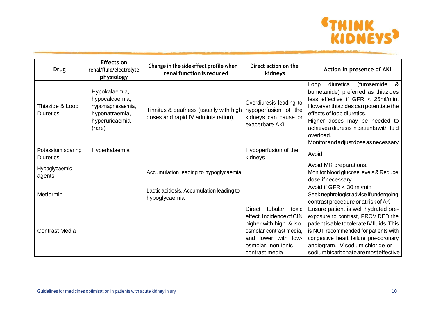

| <b>Drug</b>                           | Effects on<br>renal/fluid/electrolyte<br>physiology                                               | Change in the side effect profile when<br>renal function is reduced           | Direct action on the<br>kidneys                                                                                                                                              | Action in presence of AKI                                                                                                                                                                                                                                                                                                            |
|---------------------------------------|---------------------------------------------------------------------------------------------------|-------------------------------------------------------------------------------|------------------------------------------------------------------------------------------------------------------------------------------------------------------------------|--------------------------------------------------------------------------------------------------------------------------------------------------------------------------------------------------------------------------------------------------------------------------------------------------------------------------------------|
| Thiazide & Loop<br><b>Diuretics</b>   | Hypokalaemia,<br>hypocalcaemia,<br>hypomagnesaemia,<br>hyponatraemia,<br>hyperuricaemia<br>(rare) | Tinnitus & deafness (usually with high<br>doses and rapid IV administration), | Overdiuresis leading to<br>hypoperfusion of the<br>kidneys can cause or<br>exacerbate AKI.                                                                                   | diuretics<br>(furosemide<br><u>&amp;</u><br>Loop<br>bumetanide) preferred as thiazides<br>less effective if GFR < 25ml/min.<br>However thiazides can potentiate the<br>effects of loop diuretics.<br>Higher doses may be needed to<br>achieve a diuresis in patients with fluid<br>overload.<br>Monitor and adjust dose as necessary |
| Potassium sparing<br><b>Diuretics</b> | Hyperkalaemia                                                                                     |                                                                               | Hypoperfusion of the<br>kidneys                                                                                                                                              | Avoid                                                                                                                                                                                                                                                                                                                                |
| Hypoglycaemic<br>agents               |                                                                                                   | Accumulation leading to hypoglycaemia                                         |                                                                                                                                                                              | Avoid MR preparations.<br>Monitor blood glucose levels & Reduce<br>dose if necessary                                                                                                                                                                                                                                                 |
| Metformin                             |                                                                                                   | Lactic acidosis. Accumulation leading to<br>hypoglycaemia                     |                                                                                                                                                                              | Avoid if GFR < 30 ml/min<br>Seek nephrologist advice if undergoing<br>contrast procedure or at risk of AKI                                                                                                                                                                                                                           |
| <b>Contrast Media</b>                 |                                                                                                   |                                                                               | tubular<br>Direct<br>toxic<br>effect. Incidence of CIN<br>higher with high- & iso-<br>osmolar contrast media,<br>and lower with low-<br>osmolar, non-ionic<br>contrast media | Ensure patient is well hydrated pre-<br>exposure to contrast, PROVIDED the<br>patient is able to tolerate IV fluids. This<br>is NOT recommended for patients with<br>congestive heart failure pre-coronary<br>angiogram. IV sodium chloride or<br>sodium bicarbonate are most effective                                              |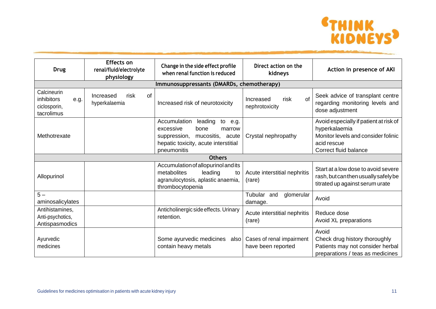

| <b>Drug</b>                                                            | <b>Effects on</b><br>renal/fluid/electrolyte<br>physiology | Change in the side effect profile<br>when renal function is reduced                                                                                          | Direct action on the<br>kidneys                 | Action in presence of AKI                                                                                                              |  |  |  |
|------------------------------------------------------------------------|------------------------------------------------------------|--------------------------------------------------------------------------------------------------------------------------------------------------------------|-------------------------------------------------|----------------------------------------------------------------------------------------------------------------------------------------|--|--|--|
|                                                                        | Immunosuppressants (DMARDs, chemotherapy)                  |                                                                                                                                                              |                                                 |                                                                                                                                        |  |  |  |
| Calcineurin<br><i>inhibitors</i><br>e.g.<br>ciclosporin,<br>tacrolimus | risk<br><b>of</b><br>Increased<br>hyperkalaemia            | Increased risk of neurotoxicity                                                                                                                              | of<br>Increased<br>risk<br>nephrotoxicity       | Seek advice of transplant centre<br>regarding monitoring levels and<br>dose adjustment                                                 |  |  |  |
| Methotrexate                                                           |                                                            | Accumulation<br>leading<br>to e.g.<br>excessive<br>bone<br>marrow<br>mucositis, acute<br>suppression,<br>hepatic toxicity, acute interstitial<br>pneumonitis | Crystal nephropathy                             | Avoid especially if patient at risk of<br>hyperkalaemia<br>Monitor levels and consider folinic<br>acid rescue<br>Correct fluid balance |  |  |  |
|                                                                        |                                                            | <b>Others</b>                                                                                                                                                |                                                 |                                                                                                                                        |  |  |  |
| Allopurinol                                                            |                                                            | Accumulation of allopurinol and its<br>metabolites<br>leading<br>to<br>agranulocytosis, aplastic anaemia,<br>thrombocytopenia                                | Acute interstitial nephritis<br>(rare)          | Start at a low dose to avoid severe<br>rash, but can then usually safely be<br>titrated up against serum urate                         |  |  |  |
| $5 -$<br>aminosalicylates                                              |                                                            |                                                                                                                                                              | Tubular and<br>glomerular<br>damage.            | Avoid                                                                                                                                  |  |  |  |
| Antihistamines,<br>Anti-psychotics,<br>Antispasmodics                  |                                                            | Anticholinergic side effects. Urinary<br>retention.                                                                                                          | Acute interstitial nephritis<br>(rare)          | Reduce dose<br>Avoid XL preparations                                                                                                   |  |  |  |
| Ayurvedic<br>medicines                                                 |                                                            | Some ayurvedic medicines<br>also<br>contain heavy metals                                                                                                     | Cases of renal impairment<br>have been reported | Avoid<br>Check drug history thoroughly<br>Patients may not consider herbal<br>preparations / teas as medicines                         |  |  |  |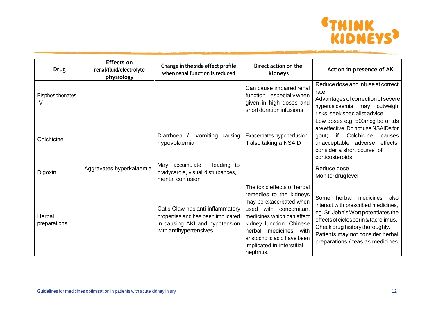

| <b>Drug</b>                  | <b>Effects on</b><br>renal/fluid/electrolyte<br>physiology | Change in the side effect profile<br>when renal function is reduced                                                                | Direct action on the<br>kidneys                                                                                                                                                                                                                                             | Action in presence of AKI                                                                                                                                                                                                                                     |
|------------------------------|------------------------------------------------------------|------------------------------------------------------------------------------------------------------------------------------------|-----------------------------------------------------------------------------------------------------------------------------------------------------------------------------------------------------------------------------------------------------------------------------|---------------------------------------------------------------------------------------------------------------------------------------------------------------------------------------------------------------------------------------------------------------|
| <b>Bisphosphonates</b><br>IV |                                                            |                                                                                                                                    | Can cause impaired renal<br>function - especially when<br>given in high doses and<br>short duration infusions                                                                                                                                                               | Reduce dose and infuse at correct<br>rate<br>Advantages of correction of severe<br>hypercalcaemia may outweigh<br>risks: seek specialist advice                                                                                                               |
| Colchicine                   |                                                            | Diarrhoea /<br>vomiting causing<br>hypovolaemia                                                                                    | Exacerbates hypoperfusion<br>if also taking a NSAID                                                                                                                                                                                                                         | Low doses e.g. 500mcg bd or tds<br>are effective. Do not use NSAIDs for<br>if<br>Colchicine<br>gout;<br>causes<br>unacceptable adverse<br>effects,<br>consider a short course of<br>corticosteroids                                                           |
| Digoxin                      | Aggravates hyperkalaemia                                   | May accumulate<br>leading to<br>bradycardia, visual disturbances,<br>mental confusion                                              |                                                                                                                                                                                                                                                                             | Reduce dose<br>Monitordruglevel                                                                                                                                                                                                                               |
| Herbal<br>preparations       |                                                            | Cat's Claw has anti-inflammatory<br>properties and has been implicated<br>in causing AKI and hypotension<br>with antihypertensives | The toxic effects of herbal<br>remedies to the kidneys<br>may be exacerbated when<br>used with concomitant<br>medicines which can affect<br>kidney function. Chinese<br>medicines with<br>herbal<br>aristocholic acid have been<br>implicated in interstitial<br>nephritis. | Some herbal medicines<br>also<br>interact with prescribed medicines,<br>eg. St. John's Wort potentiates the<br>effects of ciclosporin & tacrolimus.<br>Check drug history thoroughly.<br>Patients may not consider herbal<br>preparations / teas as medicines |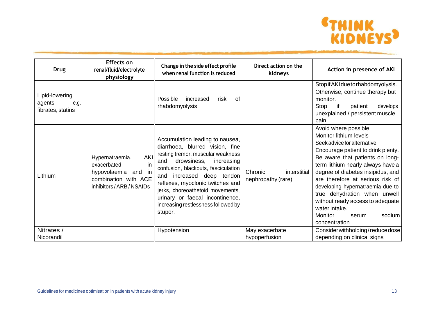

| <b>Drug</b>                                           | <b>Effects on</b><br>renal/fluid/electrolyte<br>physiology                                                             | Change in the side effect profile<br>when renal function is reduced                                                                                                                                                                                                                                                                                                          | Direct action on the<br>kidneys               | Action in presence of AKI                                                                                                                                                                                                                                                                                                                                                                                                                    |
|-------------------------------------------------------|------------------------------------------------------------------------------------------------------------------------|------------------------------------------------------------------------------------------------------------------------------------------------------------------------------------------------------------------------------------------------------------------------------------------------------------------------------------------------------------------------------|-----------------------------------------------|----------------------------------------------------------------------------------------------------------------------------------------------------------------------------------------------------------------------------------------------------------------------------------------------------------------------------------------------------------------------------------------------------------------------------------------------|
| Lipid-lowering<br>agents<br>e.g.<br>fibrates, statins |                                                                                                                        | of<br>Possible<br>increased<br>risk<br>rhabdomyolysis                                                                                                                                                                                                                                                                                                                        |                                               | Stop if AKI due to rhabdomyolysis.<br>Otherwise, continue therapy but<br>monitor.<br>if<br>Stop<br>patient<br>develops<br>unexplained / persistent muscle<br>pain                                                                                                                                                                                                                                                                            |
| Lithium                                               | AKI<br>Hypernatraemia.<br>exacerbated<br>in<br>in<br>hypovolaemia and<br>combination with ACE<br>inhibitors/ARB/NSAIDs | Accumulation leading to nausea,<br>diarrhoea, blurred vision, fine<br>resting tremor, muscular weakness<br>drowsiness,<br>increasing<br>and<br>confusion, blackouts, fasciculation<br>and increased deep tendon<br>reflexes, myoclonic twitches and<br>jerks, choreoathetoid movements,<br>urinary or faecal incontinence,<br>increasing restlessness followed by<br>stupor. | Chronic<br>interstitial<br>nephropathy (rare) | Avoid where possible<br>Monitor lithium levels<br>Seek advice for alternative<br>Encourage patient to drink plenty.<br>Be aware that patients on long-<br>term lithium nearly always have a<br>degree of diabetes insipidus, and<br>are therefore at serious risk of<br>developing hypernatraemia due to<br>true dehydration when unwell<br>without ready access to adequate<br>water intake.<br>Monitor<br>sodium<br>serum<br>concentration |
| Nitrates /<br>Nicorandil                              |                                                                                                                        | Hypotension                                                                                                                                                                                                                                                                                                                                                                  | May exacerbate<br>hypoperfusion               | Consider withholding/reduce dose<br>depending on clinical signs                                                                                                                                                                                                                                                                                                                                                                              |